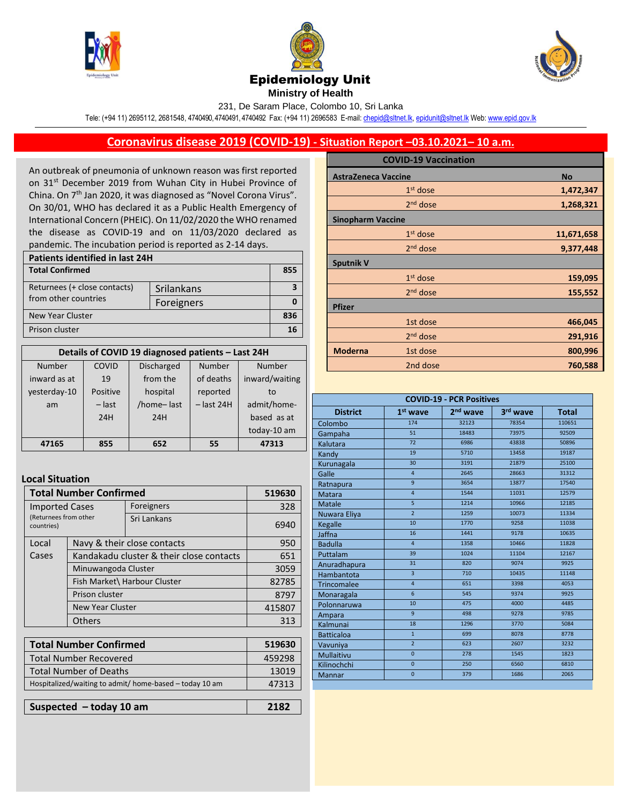





**Ministry of Health** 

231, De Saram Place, Colombo 10, Sri Lanka

Tele: (+94 11) 2695112, 2681548, 4740490, 4740491, 4740492 Fax: (+94 11) 2696583 E-mail[: chepid@sltnet.lk,](mailto:chepi@sltnet.lk) [epidunit@sltnet.lk](mailto:epidunit@sltnet.lk) Web[: www.epid.gov.lk](http://www.epid.gov.lk/)

## **Coronavirus disease 2019 (COVID-19) - Situation Report –03.10.2021– 10 a.m.**

An outbreak of pneumonia of unknown reason was first reported on 31<sup>st</sup> December 2019 from Wuhan City in Hubei Province of China. On 7<sup>th</sup> Jan 2020, it was diagnosed as "Novel Corona Virus". On 30/01, WHO has declared it as a Public Health Emergency of International Concern (PHEIC). On 11/02/2020 the WHO renamed the disease as COVID-19 and on 11/03/2020 declared as pandemic. The incubation period is reported as 2-14 days.

| Patients identified in last 24H |            |     |  |
|---------------------------------|------------|-----|--|
| <b>Total Confirmed</b>          |            | 855 |  |
| Returnees (+ close contacts)    | Srilankans |     |  |
| from other countries            | Foreigners |     |  |
| New Year Cluster                |            |     |  |
| Prison cluster                  |            | 16  |  |

| Details of COVID 19 diagnosed patients - Last 24H |          |                   |              |                |
|---------------------------------------------------|----------|-------------------|--------------|----------------|
| Number                                            | COVID    | <b>Discharged</b> | Number       | Number         |
| inward as at                                      | 19       | from the          | of deaths    | inward/waiting |
| yesterday-10                                      | Positive | hospital          | reported     | to             |
| am                                                | $-$ last | /home-last        | $-$ last 24H | admit/home-    |
|                                                   | 24H      | 24H               |              | based as at    |
|                                                   |          |                   |              | today-10 am    |
| 47165                                             | 855      | 652               | 55           | 47313          |

## **Local Situation**

| <b>Total Number Confirmed</b>                                |                                                                           |             | 519630 |
|--------------------------------------------------------------|---------------------------------------------------------------------------|-------------|--------|
| <b>Imported Cases</b><br>(Returnees from other<br>countries) |                                                                           | Foreigners  | 328    |
|                                                              |                                                                           | Sri Lankans | 6940   |
| Local                                                        | Navy & their close contacts                                               |             | 950    |
| Cases                                                        | Kandakadu cluster & their close contacts                                  |             | 651    |
|                                                              | Minuwangoda Cluster                                                       |             | 3059   |
|                                                              | Fish Market\ Harbour Cluster<br>Prison cluster<br><b>New Year Cluster</b> |             | 82785  |
|                                                              |                                                                           |             | 8797   |
|                                                              |                                                                           |             | 415807 |
|                                                              | <b>Others</b>                                                             |             | 313    |

| <b>Total Number Confirmed</b>                           | 519630 |
|---------------------------------------------------------|--------|
| <b>Total Number Recovered</b>                           | 459298 |
| <b>Total Number of Deaths</b>                           | 13019  |
| Hospitalized/waiting to admit/ home-based - today 10 am | 47313  |
|                                                         |        |
| Suspected - today 10 am                                 | 2182   |

|                            | <b>COVID-19 Vaccination</b> |            |
|----------------------------|-----------------------------|------------|
| <b>AstraZeneca Vaccine</b> |                             | <b>No</b>  |
|                            | $1st$ dose                  | 1,472,347  |
|                            | 2 <sup>nd</sup> dose        | 1,268,321  |
| <b>Sinopharm Vaccine</b>   |                             |            |
|                            | $1st$ dose                  | 11,671,658 |
|                            | $2nd$ dose                  | 9,377,448  |
| <b>Sputnik V</b>           |                             |            |
|                            | $1st$ dose                  | 159,095    |
|                            | $2nd$ dose                  | 155,552    |
| <b>Pfizer</b>              |                             |            |
|                            | 1st dose                    | 466,045    |
|                            | $2nd$ dose                  | 291,916    |
| <b>Moderna</b>             | 1st dose                    | 800,996    |
|                            | 2nd dose                    | 760,588    |
|                            |                             |            |

| <b>COVID-19 - PCR Positives</b> |                 |            |          |              |
|---------------------------------|-----------------|------------|----------|--------------|
| <b>District</b>                 | $1st$ wave      | $2nd$ wave | 3rd wave | <b>Total</b> |
| Colombo                         | 174             | 32123      | 78354    | 110651       |
| Gampaha                         | 51              | 18483      | 73975    | 92509        |
| Kalutara                        | 72              | 6986       | 43838    | 50896        |
| Kandy                           | 19              | 5710       | 13458    | 19187        |
| Kurunagala                      | 30              | 3191       | 21879    | 25100        |
| Galle                           | $\overline{4}$  | 2645       | 28663    | 31312        |
| Ratnapura                       | $\mathbf{q}$    | 3654       | 13877    | 17540        |
| Matara                          | $\overline{4}$  | 1544       | 11031    | 12579        |
| <b>Matale</b>                   | 5               | 1214       | 10966    | 12185        |
| Nuwara Eliya                    | $\overline{2}$  | 1259       | 10073    | 11334        |
| Kegalle                         | 10              | 1770       | 9258     | 11038        |
| Jaffna                          | 16              | 1441       | 9178     | 10635        |
| <b>Badulla</b>                  | $\overline{4}$  | 1358       | 10466    | 11828        |
| Puttalam                        | 39              | 1024       | 11104    | 12167        |
| Anuradhapura                    | 31              | 820        | 9074     | 9925         |
| Hambantota                      | $\overline{3}$  | 710        | 10435    | 11148        |
| <b>Trincomalee</b>              | $\overline{4}$  | 651        | 3398     | 4053         |
| Monaragala                      | $6\overline{6}$ | 545        | 9374     | 9925         |
| Polonnaruwa                     | 10              | 475        | 4000     | 4485         |
| Ampara                          | $\mathbf{q}$    | 498        | 9278     | 9785         |
| Kalmunai                        | 18              | 1296       | 3770     | 5084         |
| <b>Batticaloa</b>               | $\mathbf{1}$    | 699        | 8078     | 8778         |
| Vavuniya                        | $\overline{2}$  | 623        | 2607     | 3232         |
| <b>Mullaitivu</b>               | $\overline{0}$  | 278        | 1545     | 1823         |
| Kilinochchi                     | $\Omega$        | 250        | 6560     | 6810         |
| <b>Mannar</b>                   | $\overline{0}$  | 379        | 1686     | 2065         |